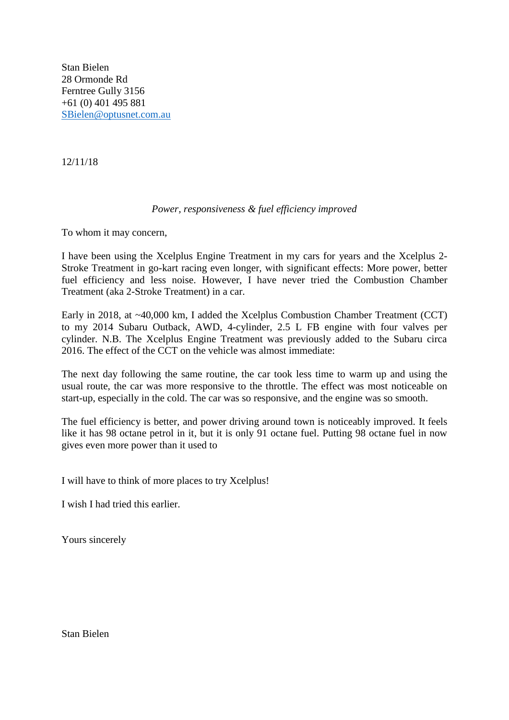Stan Bielen 28 Ormonde Rd Ferntree Gully 3156 +61 (0) 401 495 881 [SBielen@optusnet.com.au](mailto:SBielen@optusnet.com.au)

12/11/18

## *Power, responsiveness & fuel efficiency improved*

To whom it may concern,

I have been using the Xcelplus Engine Treatment in my cars for years and the Xcelplus 2- Stroke Treatment in go-kart racing even longer, with significant effects: More power, better fuel efficiency and less noise. However, I have never tried the Combustion Chamber Treatment (aka 2-Stroke Treatment) in a car.

Early in 2018, at ~40,000 km, I added the Xcelplus Combustion Chamber Treatment (CCT) to my 2014 Subaru Outback, AWD, 4-cylinder, 2.5 L FB engine with four valves per cylinder. N.B. The Xcelplus Engine Treatment was previously added to the Subaru circa 2016. The effect of the CCT on the vehicle was almost immediate:

The next day following the same routine, the car took less time to warm up and using the usual route, the car was more responsive to the throttle. The effect was most noticeable on start-up, especially in the cold. The car was so responsive, and the engine was so smooth.

The fuel efficiency is better, and power driving around town is noticeably improved. It feels like it has 98 octane petrol in it, but it is only 91 octane fuel. Putting 98 octane fuel in now gives even more power than it used to

I will have to think of more places to try Xcelplus!

I wish I had tried this earlier.

Yours sincerely

Stan Bielen